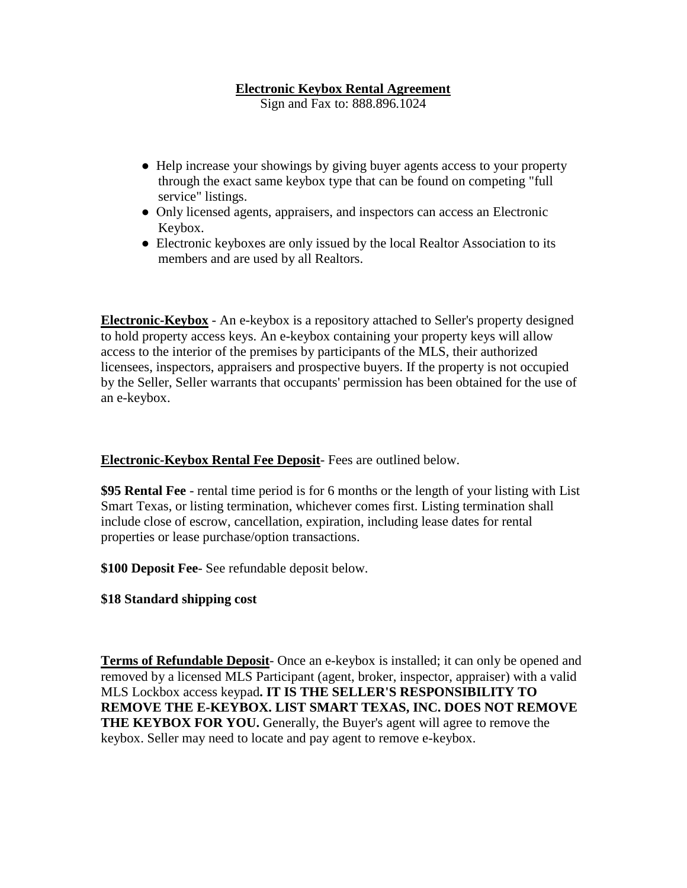## **Electronic Keybox Rental Agreement**

Sign and Fax to: 888.896.1024

- Help increase your showings by giving buyer agents access to your property through the exact same keybox type that can be found on competing "full service" listings.
- Only licensed agents, appraisers, and inspectors can access an Electronic Keybox.
- Electronic keyboxes are only issued by the local Realtor Association to its members and are used by all Realtors.

**Electronic-Keybox** - An e-keybox is a repository attached to Seller's property designed to hold property access keys. An e-keybox containing your property keys will allow access to the interior of the premises by participants of the MLS, their authorized licensees, inspectors, appraisers and prospective buyers. If the property is not occupied by the Seller, Seller warrants that occupants' permission has been obtained for the use of an e-keybox.

## **Electronic-Keybox Rental Fee Deposit**- Fees are outlined below.

**\$95 Rental Fee** - rental time period is for 6 months or the length of your listing with List Smart Texas, or listing termination, whichever comes first. Listing termination shall include close of escrow, cancellation, expiration, including lease dates for rental properties or lease purchase/option transactions.

**\$100 Deposit Fee**- See refundable deposit below.

## **\$18 Standard shipping cost**

**Terms of Refundable Deposit**- Once an e-keybox is installed; it can only be opened and removed by a licensed MLS Participant (agent, broker, inspector, appraiser) with a valid MLS Lockbox access keypad**. IT IS THE SELLER'S RESPONSIBILITY TO REMOVE THE E-KEYBOX. LIST SMART TEXAS, INC. DOES NOT REMOVE THE KEYBOX FOR YOU.** Generally, the Buyer's agent will agree to remove the keybox. Seller may need to locate and pay agent to remove e-keybox.